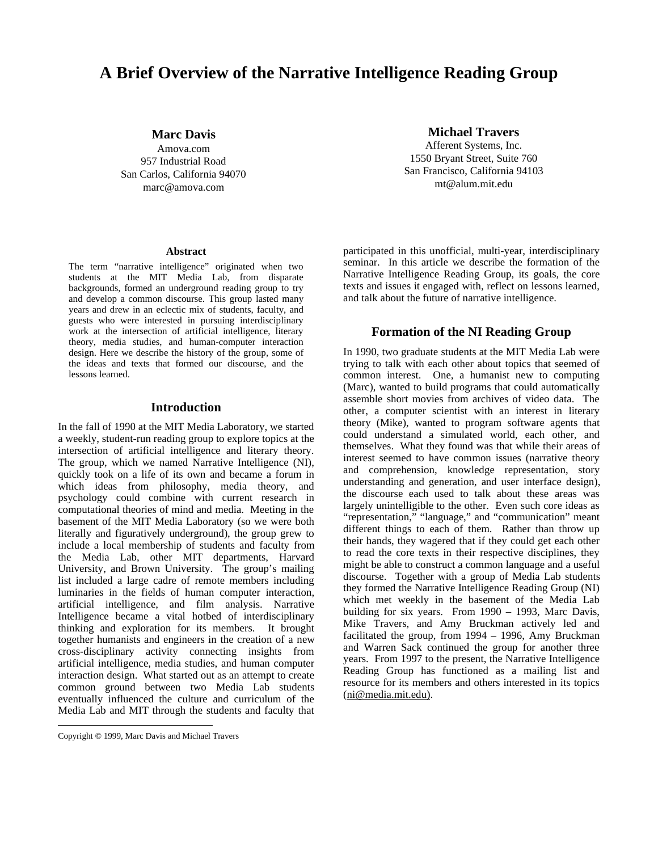# **A Brief Overview of the Narrative Intelligence Reading Group**

#### **Marc Davis**

Amova.com 957 Industrial Road San Carlos, California 94070 marc@amova.com

#### **Abstract**

The term "narrative intelligence" originated when two students at the MIT Media Lab, from disparate backgrounds, formed an underground reading group to try and develop a common discourse. This group lasted many years and drew in an eclectic mix of students, faculty, and guests who were interested in pursuing interdisciplinary work at the intersection of artificial intelligence, literary theory, media studies, and human-computer interaction design. Here we describe the history of the group, some of the ideas and texts that formed our discourse, and the lessons learned.

#### **Introduction**

In the fall of 1990 at the MIT Media Laboratory, we started a weekly, student-run reading group to explore topics at the intersection of artificial intelligence and literary theory. The group, which we named Narrative Intelligence (NI), quickly took on a life of its own and became a forum in which ideas from philosophy, media theory, and psychology could combine with current research in computational theories of mind and media. Meeting in the basement of the MIT Media Laboratory (so we were both literally and figuratively underground), the group grew to include a local membership of students and faculty from the Media Lab, other MIT departments, Harvard University, and Brown University. The group's mailing list included a large cadre of remote members including luminaries in the fields of human computer interaction, artificial intelligence, and film analysis. Narrative Intelligence became a vital hotbed of interdisciplinary thinking and exploration for its members. It brought together humanists and engineers in the creation of a new cross-disciplinary activity connecting insights from artificial intelligence, media studies, and human computer interaction design. What started out as an attempt to create common ground between two Media Lab students eventually influenced the culture and curriculum of the Media Lab and MIT through the students and faculty that

 $\overline{a}$ 

**Michael Travers**

Afferent Systems, Inc. 1550 Bryant Street, Suite 760 San Francisco, California 94103 mt@alum.mit.edu

participated in this unofficial, multi-year, interdisciplinary seminar. In this article we describe the formation of the Narrative Intelligence Reading Group, its goals, the core texts and issues it engaged with, reflect on lessons learned, and talk about the future of narrative intelligence.

### **Formation of the NI Reading Group**

In 1990, two graduate students at the MIT Media Lab were trying to talk with each other about topics that seemed of common interest. One, a humanist new to computing (Marc), wanted to build programs that could automatically assemble short movies from archives of video data. The other, a computer scientist with an interest in literary theory (Mike), wanted to program software agents that could understand a simulated world, each other, and themselves. What they found was that while their areas of interest seemed to have common issues (narrative theory and comprehension, knowledge representation, story understanding and generation, and user interface design), the discourse each used to talk about these areas was largely unintelligible to the other. Even such core ideas as "representation," "language," and "communication" meant different things to each of them. Rather than throw up their hands, they wagered that if they could get each other to read the core texts in their respective disciplines, they might be able to construct a common language and a useful discourse. Together with a group of Media Lab students they formed the Narrative Intelligence Reading Group (NI) which met weekly in the basement of the Media Lab building for six years. From 1990 – 1993, Marc Davis, Mike Travers, and Amy Bruckman actively led and facilitated the group, from 1994 – 1996, Amy Bruckman and Warren Sack continued the group for another three years. From 1997 to the present, the Narrative Intelligence Reading Group has functioned as a mailing list and resource for its members and others interested in its topics (ni@media.mit.edu).

Copyright © 1999, Marc Davis and Michael Travers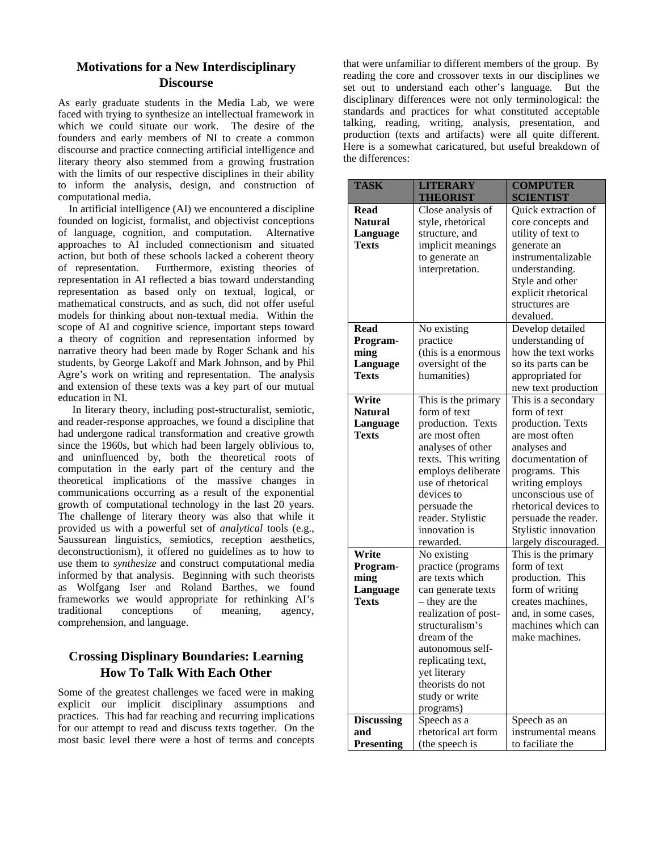## **Motivations for a New Interdisciplinary Discourse**

As early graduate students in the Media Lab, we were faced with trying to synthesize an intellectual framework in which we could situate our work. The desire of the founders and early members of NI to create a common discourse and practice connecting artificial intelligence and literary theory also stemmed from a growing frustration with the limits of our respective disciplines in their ability to inform the analysis, design, and construction of computational media.

 In artificial intelligence (AI) we encountered a discipline founded on logicist, formalist, and objectivist conceptions of language, cognition, and computation. Alternative approaches to AI included connectionism and situated action, but both of these schools lacked a coherent theory<br>of representation. Furthermore, existing theories of Furthermore, existing theories of representation in AI reflected a bias toward understanding representation as based only on textual, logical, or mathematical constructs, and as such, did not offer useful models for thinking about non-textual media. Within the scope of AI and cognitive science, important steps toward a theory of cognition and representation informed by narrative theory had been made by Roger Schank and his students, by George Lakoff and Mark Johnson, and by Phil Agre's work on writing and representation. The analysis and extension of these texts was a key part of our mutual education in NI.

 In literary theory, including post-structuralist, semiotic, and reader-response approaches, we found a discipline that had undergone radical transformation and creative growth since the 1960s, but which had been largely oblivious to, and uninfluenced by, both the theoretical roots of computation in the early part of the century and the theoretical implications of the massive changes in communications occurring as a result of the exponential growth of computational technology in the last 20 years. The challenge of literary theory was also that while it provided us with a powerful set of *analytical* tools (e.g., Saussurean linguistics, semiotics, reception aesthetics, deconstructionism), it offered no guidelines as to how to use them to *synthesize* and construct computational media informed by that analysis. Beginning with such theorists as Wolfgang Iser and Roland Barthes, we found frameworks we would appropriate for rethinking AI's traditional conceptions of meaning, agency, comprehension, and language.

## **Crossing Displinary Boundaries: Learning How To Talk With Each Other**

Some of the greatest challenges we faced were in making explicit our implicit disciplinary assumptions and practices. This had far reaching and recurring implications for our attempt to read and discuss texts together. On the most basic level there were a host of terms and concepts

that were unfamiliar to different members of the group. By reading the core and crossover texts in our disciplines we set out to understand each other's language. But the disciplinary differences were not only terminological: the standards and practices for what constituted acceptable talking, reading, writing, analysis, presentation, and production (texts and artifacts) were all quite different. Here is a somewhat caricatured, but useful breakdown of the differences:

| <b>TASK</b>       | <b>LITERARY</b>      | <b>COMPUTER</b>       |
|-------------------|----------------------|-----------------------|
|                   | <b>THEORIST</b>      | <b>SCIENTIST</b>      |
| <b>Read</b>       | Close analysis of    | Quick extraction of   |
| <b>Natural</b>    | style, rhetorical    | core concepts and     |
| Language          | structure, and       | utility of text to    |
| <b>Texts</b>      | implicit meanings    | generate an           |
|                   | to generate an       | instrumentalizable    |
|                   | interpretation.      | understanding.        |
|                   |                      | Style and other       |
|                   |                      | explicit rhetorical   |
|                   |                      | structures are        |
|                   |                      | devalued.             |
| <b>Read</b>       | No existing          | Develop detailed      |
| Program-          | practice             | understanding of      |
| ming              | (this is a enormous  | how the text works    |
| Language          | oversight of the     | so its parts can be   |
| <b>Texts</b>      | humanities)          | appropriated for      |
|                   |                      | new text production   |
| Write             | This is the primary  | This is a secondary   |
| <b>Natural</b>    | form of text         | form of text          |
| Language          | production. Texts    | production. Texts     |
| <b>Texts</b>      | are most often       | are most often        |
|                   | analyses of other    | analyses and          |
|                   | texts. This writing  | documentation of      |
|                   | employs deliberate   | programs. This        |
|                   | use of rhetorical    | writing employs       |
|                   | devices to           | unconscious use of    |
|                   | persuade the         | rhetorical devices to |
|                   | reader. Stylistic    | persuade the reader.  |
|                   | innovation is        | Stylistic innovation  |
|                   | rewarded.            | largely discouraged.  |
| Write             | No existing          | This is the primary   |
| Program-          | practice (programs   | form of text          |
| ming              | are texts which      | production. This      |
| Language          | can generate texts   | form of writing       |
| <b>Texts</b>      | - they are the       | creates machines.     |
|                   | realization of post- | and, in some cases,   |
|                   | structuralism's      | machines which can    |
|                   | dream of the         | make machines.        |
|                   | autonomous self-     |                       |
|                   | replicating text,    |                       |
|                   | yet literary         |                       |
|                   | theorists do not     |                       |
|                   | study or write       |                       |
|                   | programs)            |                       |
| <b>Discussing</b> | Speech as a          | Speech as an          |
| and               | rhetorical art form  | instrumental means    |
| <b>Presenting</b> | (the speech is       | to faciliate the      |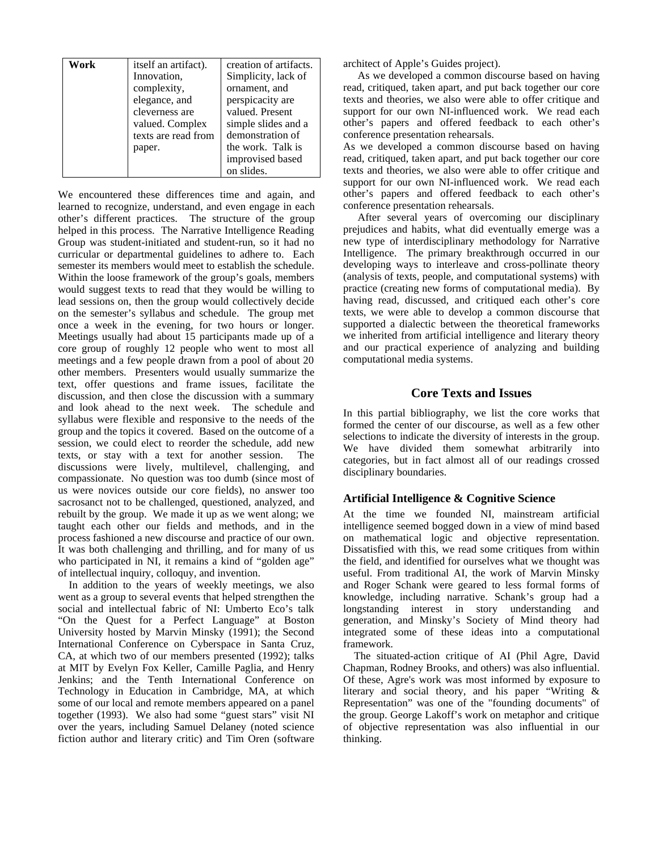| Work | itself an artifact).<br>Innovation,<br>complexity,<br>elegance, and<br>cleverness are<br>valued. Complex<br>texts are read from<br>paper. | creation of artifacts.<br>Simplicity, lack of<br>ornament, and<br>perspicacity are<br>valued. Present<br>simple slides and a<br>demonstration of<br>the work. Talk is<br>improvised based |
|------|-------------------------------------------------------------------------------------------------------------------------------------------|-------------------------------------------------------------------------------------------------------------------------------------------------------------------------------------------|
|      |                                                                                                                                           | on slides.                                                                                                                                                                                |

We encountered these differences time and again, and learned to recognize, understand, and even engage in each other's different practices. The structure of the group helped in this process. The Narrative Intelligence Reading Group was student-initiated and student-run, so it had no curricular or departmental guidelines to adhere to. Each semester its members would meet to establish the schedule. Within the loose framework of the group's goals, members would suggest texts to read that they would be willing to lead sessions on, then the group would collectively decide on the semester's syllabus and schedule. The group met once a week in the evening, for two hours or longer. Meetings usually had about 15 participants made up of a core group of roughly 12 people who went to most all meetings and a few people drawn from a pool of about 20 other members. Presenters would usually summarize the text, offer questions and frame issues, facilitate the discussion, and then close the discussion with a summary and look ahead to the next week. The schedule and syllabus were flexible and responsive to the needs of the group and the topics it covered. Based on the outcome of a session, we could elect to reorder the schedule, add new texts, or stay with a text for another session. The discussions were lively, multilevel, challenging, and compassionate. No question was too dumb (since most of us were novices outside our core fields), no answer too sacrosanct not to be challenged, questioned, analyzed, and rebuilt by the group. We made it up as we went along; we taught each other our fields and methods, and in the process fashioned a new discourse and practice of our own. It was both challenging and thrilling, and for many of us who participated in NI, it remains a kind of "golden age" of intellectual inquiry, colloquy, and invention.

 In addition to the years of weekly meetings, we also went as a group to several events that helped strengthen the social and intellectual fabric of NI: Umberto Eco's talk "On the Quest for a Perfect Language" at Boston University hosted by Marvin Minsky (1991); the Second International Conference on Cyberspace in Santa Cruz, CA, at which two of our members presented (1992); talks at MIT by Evelyn Fox Keller, Camille Paglia, and Henry Jenkins; and the Tenth International Conference on Technology in Education in Cambridge, MA, at which some of our local and remote members appeared on a panel together (1993). We also had some "guest stars" visit NI over the years, including Samuel Delaney (noted science fiction author and literary critic) and Tim Oren (software architect of Apple's Guides project).

 As we developed a common discourse based on having read, critiqued, taken apart, and put back together our core texts and theories, we also were able to offer critique and support for our own NI-influenced work. We read each other's papers and offered feedback to each other's conference presentation rehearsals.

As we developed a common discourse based on having read, critiqued, taken apart, and put back together our core texts and theories, we also were able to offer critique and support for our own NI-influenced work. We read each other's papers and offered feedback to each other's conference presentation rehearsals.

 After several years of overcoming our disciplinary prejudices and habits, what did eventually emerge was a new type of interdisciplinary methodology for Narrative Intelligence. The primary breakthrough occurred in our developing ways to interleave and cross-pollinate theory (analysis of texts, people, and computational systems) with practice (creating new forms of computational media). By having read, discussed, and critiqued each other's core texts, we were able to develop a common discourse that supported a dialectic between the theoretical frameworks we inherited from artificial intelligence and literary theory and our practical experience of analyzing and building computational media systems.

### **Core Texts and Issues**

In this partial bibliography, we list the core works that formed the center of our discourse, as well as a few other selections to indicate the diversity of interests in the group. We have divided them somewhat arbitrarily into categories, but in fact almost all of our readings crossed disciplinary boundaries.

#### **Artificial Intelligence & Cognitive Science**

At the time we founded NI, mainstream artificial intelligence seemed bogged down in a view of mind based on mathematical logic and objective representation. Dissatisfied with this, we read some critiques from within the field, and identified for ourselves what we thought was useful. From traditional AI, the work of Marvin Minsky and Roger Schank were geared to less formal forms of knowledge, including narrative. Schank's group had a longstanding interest in story understanding and generation, and Minsky's Society of Mind theory had integrated some of these ideas into a computational framework.

The situated-action critique of AI (Phil Agre, David Chapman, Rodney Brooks, and others) was also influential. Of these, Agre's work was most informed by exposure to literary and social theory, and his paper "Writing & Representation" was one of the "founding documents" of the group. George Lakoff's work on metaphor and critique of objective representation was also influential in our thinking.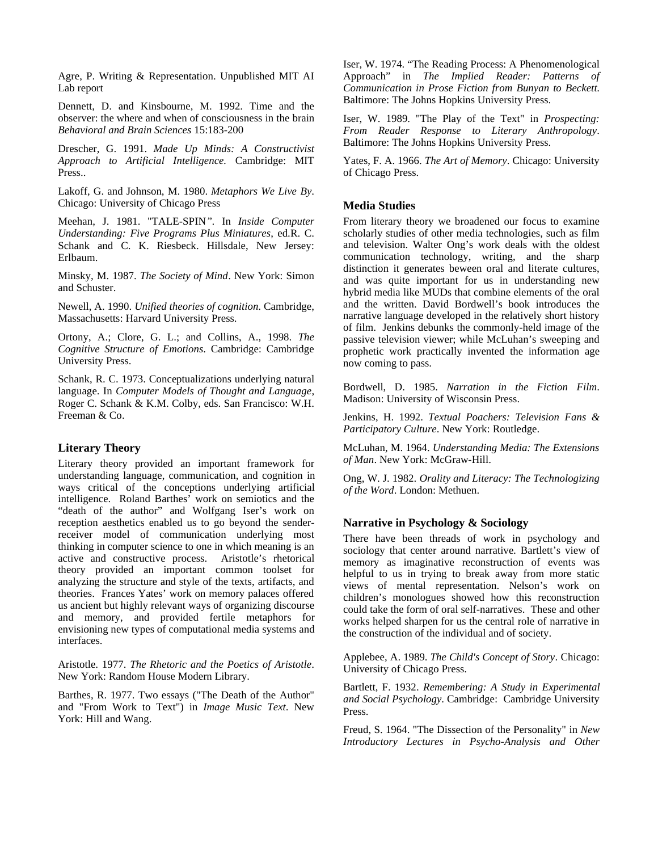Agre, P. Writing & Representation. Unpublished MIT AI Lab report

Dennett, D. and Kinsbourne, M. 1992. Time and the observer: the where and when of consciousness in the brain *Behavioral and Brain Sciences* 15:183-200

Drescher, G. 1991. *Made Up Minds: A Constructivist Approach to Artificial Intelligence.* Cambridge: MIT Press..

Lakoff, G. and Johnson, M. 1980. *Metaphors We Live By*. Chicago: University of Chicago Press

Meehan, J. 1981. "TALE-SPIN*".* In *Inside Computer Understanding: Five Programs Plus Miniatures*, ed.R. C. Schank and C. K. Riesbeck. Hillsdale, New Jersey: Erlbaum.

Minsky, M. 1987. *The Society of Mind*. New York: Simon and Schuster.

Newell, A. 1990. *Unified theories of cognition*. Cambridge, Massachusetts: Harvard University Press.

Ortony, A.; Clore, G. L.; and Collins, A., 1998. *The Cognitive Structure of Emotions*. Cambridge: Cambridge University Press.

Schank, R. C. 1973. Conceptualizations underlying natural language. In *Computer Models of Thought and Language*, Roger C. Schank & K.M. Colby, eds. San Francisco: W.H. Freeman & Co.

#### **Literary Theory**

Literary theory provided an important framework for understanding language, communication, and cognition in ways critical of the conceptions underlying artificial intelligence. Roland Barthes' work on semiotics and the "death of the author" and Wolfgang Iser's work on reception aesthetics enabled us to go beyond the senderreceiver model of communication underlying most thinking in computer science to one in which meaning is an active and constructive process. Aristotle's rhetorical theory provided an important common toolset for analyzing the structure and style of the texts, artifacts, and theories. Frances Yates' work on memory palaces offered us ancient but highly relevant ways of organizing discourse and memory, and provided fertile metaphors for envisioning new types of computational media systems and interfaces.

Aristotle. 1977. *The Rhetoric and the Poetics of Aristotle*. New York: Random House Modern Library.

Barthes, R. 1977. Two essays ("The Death of the Author" and "From Work to Text") in *Image Music Text*. New York: Hill and Wang.

Iser, W. 1974. "The Reading Process: A Phenomenological Approach" in *The Implied Reader: Patterns of Communication in Prose Fiction from Bunyan to Beckett*. Baltimore: The Johns Hopkins University Press.

Iser, W. 1989. "The Play of the Text" in *Prospecting: From Reader Response to Literary Anthropology*. Baltimore: The Johns Hopkins University Press.

Yates, F. A. 1966. *The Art of Memory*. Chicago: University of Chicago Press.

#### **Media Studies**

From literary theory we broadened our focus to examine scholarly studies of other media technologies, such as film and television. Walter Ong's work deals with the oldest communication technology, writing, and the sharp distinction it generates beween oral and literate cultures, and was quite important for us in understanding new hybrid media like MUDs that combine elements of the oral and the written. David Bordwell's book introduces the narrative language developed in the relatively short history of film. Jenkins debunks the commonly-held image of the passive television viewer; while McLuhan's sweeping and prophetic work practically invented the information age now coming to pass.

Bordwell, D. 1985. *Narration in the Fiction Film*. Madison: University of Wisconsin Press.

Jenkins, H. 1992. *Textual Poachers: Television Fans & Participatory Culture*. New York: Routledge.

McLuhan, M. 1964. *Understanding Media: The Extensions of Man*. New York: McGraw-Hill.

Ong, W. J. 1982. *Orality and Literacy: The Technologizing of the Word*. London: Methuen.

#### **Narrative in Psychology & Sociology**

There have been threads of work in psychology and sociology that center around narrative. Bartlett's view of memory as imaginative reconstruction of events was helpful to us in trying to break away from more static views of mental representation. Nelson's work on children's monologues showed how this reconstruction could take the form of oral self-narratives. These and other works helped sharpen for us the central role of narrative in the construction of the individual and of society.

Applebee, A. 1989. *The Child's Concept of Story*. Chicago: University of Chicago Press.

Bartlett, F. 1932. *Remembering: A Study in Experimental and Social Psychology*. Cambridge: Cambridge University Press.

Freud, S. 1964. "The Dissection of the Personality" in *New Introductory Lectures in Psycho-Analysis and Other*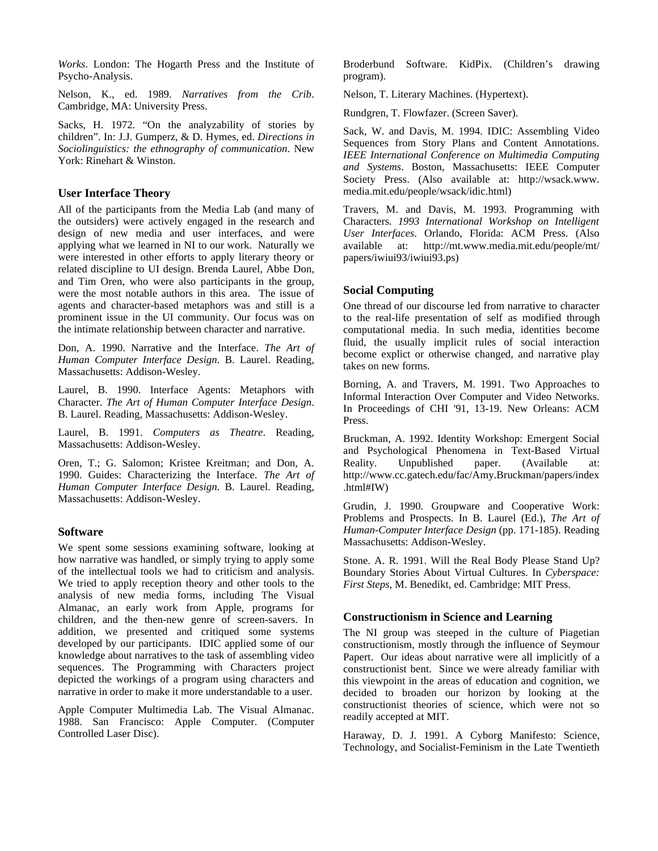*Works*. London: The Hogarth Press and the Institute of Psycho-Analysis.

Nelson, K., ed. 1989. *Narratives from the Crib*. Cambridge, MA: University Press.

Sacks, H. 1972. "On the analyzability of stories by children". In: J.J. Gumperz, & D. Hymes, ed. *Directions in Sociolinguistics: the ethnography of communication*. New York: Rinehart & Winston.

#### **User Interface Theory**

All of the participants from the Media Lab (and many of the outsiders) were actively engaged in the research and design of new media and user interfaces, and were applying what we learned in NI to our work. Naturally we were interested in other efforts to apply literary theory or related discipline to UI design. Brenda Laurel, Abbe Don, and Tim Oren, who were also participants in the group, were the most notable authors in this area. The issue of agents and character-based metaphors was and still is a prominent issue in the UI community. Our focus was on the intimate relationship between character and narrative.

Don, A. 1990. Narrative and the Interface. *The Art of Human Computer Interface Design*. B. Laurel. Reading, Massachusetts: Addison-Wesley.

Laurel, B. 1990. Interface Agents: Metaphors with Character. *The Art of Human Computer Interface Design*. B. Laurel. Reading, Massachusetts: Addison-Wesley.

Laurel, B. 1991. *Computers as Theatre*. Reading, Massachusetts: Addison-Wesley.

Oren, T.; G. Salomon; Kristee Kreitman; and Don, A. 1990. Guides: Characterizing the Interface. *The Art of Human Computer Interface Design*. B. Laurel. Reading, Massachusetts: Addison-Wesley.

#### **Software**

We spent some sessions examining software, looking at how narrative was handled, or simply trying to apply some of the intellectual tools we had to criticism and analysis. We tried to apply reception theory and other tools to the analysis of new media forms, including The Visual Almanac, an early work from Apple, programs for children, and the then-new genre of screen-savers. In addition, we presented and critiqued some systems developed by our participants. IDIC applied some of our knowledge about narratives to the task of assembling video sequences. The Programming with Characters project depicted the workings of a program using characters and narrative in order to make it more understandable to a user.

Apple Computer Multimedia Lab. The Visual Almanac. 1988. San Francisco: Apple Computer. (Computer Controlled Laser Disc).

Broderbund Software. KidPix. (Children's drawing program).

Nelson, T. Literary Machines. (Hypertext).

Rundgren, T. Flowfazer. (Screen Saver).

Sack, W. and Davis, M. 1994. IDIC: Assembling Video Sequences from Story Plans and Content Annotations. *IEEE International Conference on Multimedia Computing and Systems*. Boston, Massachusetts: IEEE Computer Society Press. (Also available at: http://wsack.www. media.mit.edu/people/wsack/idic.html)

Travers, M. and Davis, M. 1993. Programming with Characters*. 1993 International Workshop on Intelligent User Interfaces*. Orlando, Florida: ACM Press. (Also available at: http://mt.www.media.mit.edu/people/mt/ papers/iwiui93/iwiui93.ps)

### **Social Computing**

One thread of our discourse led from narrative to character to the real-life presentation of self as modified through computational media. In such media, identities become fluid, the usually implicit rules of social interaction become explict or otherwise changed, and narrative play takes on new forms.

Borning, A. and Travers, M. 1991. Two Approaches to Informal Interaction Over Computer and Video Networks. In Proceedings of CHI '91, 13-19. New Orleans: ACM Press.

Bruckman, A. 1992. Identity Workshop: Emergent Social and Psychological Phenomena in Text-Based Virtual Reality. Unpublished paper. (Available at: http://www.cc.gatech.edu/fac/Amy.Bruckman/papers/index .html#IW)

Grudin, J. 1990. Groupware and Cooperative Work: Problems and Prospects. In B. Laurel (Ed.), *The Art of Human-Computer Interface Design* (pp. 171-185). Reading Massachusetts: Addison-Wesley.

Stone. A. R. 1991. Will the Real Body Please Stand Up? Boundary Stories About Virtual Cultures. In *Cyberspace: First Steps*, M. Benedikt, ed. Cambridge: MIT Press.

#### **Constructionism in Science and Learning**

The NI group was steeped in the culture of Piagetian constructionism, mostly through the influence of Seymour Papert. Our ideas about narrative were all implicitly of a constructionist bent. Since we were already familiar with this viewpoint in the areas of education and cognition, we decided to broaden our horizon by looking at the constructionist theories of science, which were not so readily accepted at MIT.

Haraway, D. J. 1991. A Cyborg Manifesto: Science, Technology, and Socialist-Feminism in the Late Twentieth